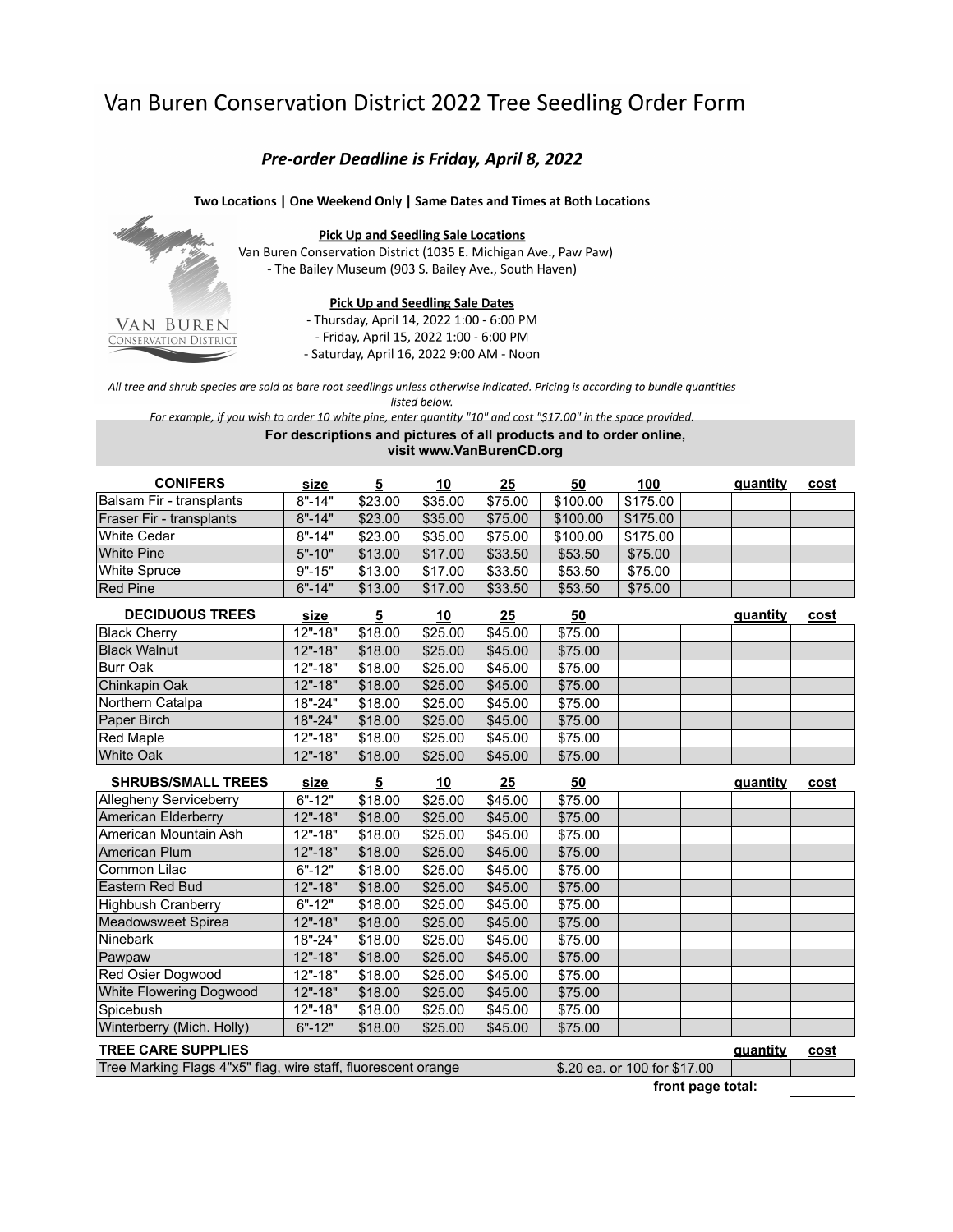## Van Buren Conservation District 2022 Tree Seedling Order Form

## Pre-order Deadline is Friday, April 8, 2022

## Two Locations | One Weekend Only | Same Dates and Times at Both Locations



**Pick Up and Seedling Sale Locations** Van Buren Conservation District (1035 E. Michigan Ave., Paw Paw) - The Bailey Museum (903 S. Bailey Ave., South Haven)

## **Pick Up and Seedling Sale Dates**

- Thursday, April 14, 2022 1:00 - 6:00 PM - Friday, April 15, 2022 1:00 - 6:00 PM - Saturday, April 16, 2022 9:00 AM - Noon

All tree and shrub species are sold as bare root seedlings unless otherwise indicated. Pricing is according to bundle quantities

listed below.

For example, if you wish to order 10 white pine, enter quantity "10" and cost "\$17.00" in the space provided.

For descriptions and pictures of all products and to order online, visit www.VanBurenCD.org

| <b>CONIFERS</b>          | <u>size</u> |         | 10      | 25      | <u>50</u> | <u> 100</u> | quantity | <u>cost</u> |
|--------------------------|-------------|---------|---------|---------|-----------|-------------|----------|-------------|
| Balsam Fir - transplants | $8" - 14"$  | \$23.00 | \$35.00 | \$75.00 | \$100.00  | \$175.00    |          |             |
| Fraser Fir - transplants | $8" - 14"$  | \$23.00 | \$35.00 | \$75.00 | \$100.00  | \$175.00    |          |             |
| White Cedar              | $8" - 14"$  | \$23.00 | \$35.00 | \$75.00 | \$100.00  | \$175.00    |          |             |
| White Pine               | $5" - 10"$  | \$13.00 | \$17.00 | \$33.50 | \$53.50   | \$75.00     |          |             |
| White Spruce             | $9" - 15"$  | \$13.00 | \$17.00 | \$33.50 | \$53.50   | \$75.00     |          |             |
| <b>Red Pine</b>          | $6" - 14"$  | \$13.00 | \$17.00 | \$33.50 | \$53.50   | \$75.00     |          |             |

| <b>DECIDUOUS TREES</b> | <u>size</u> | 5       | <u> 10</u> | <u>25</u> | <u>50</u> |  | guantity | <u>cost</u> |
|------------------------|-------------|---------|------------|-----------|-----------|--|----------|-------------|
| <b>Black Cherry</b>    | $12" - 18"$ | \$18.00 | \$25.00    | \$45.00   | \$75.00   |  |          |             |
| <b>Black Walnut</b>    | $12" - 18"$ | \$18.00 | \$25.00    | \$45.00   | \$75.00   |  |          |             |
| Burr Oak               | $12" - 18"$ | \$18.00 | \$25.00    | \$45.00   | \$75.00   |  |          |             |
| Chinkapin Oak          | $12" - 18"$ | \$18.00 | \$25.00    | \$45.00   | \$75.00   |  |          |             |
| Northern Catalpa       | $18" - 24"$ | \$18.00 | \$25.00    | \$45.00   | \$75.00   |  |          |             |
| Paper Birch            | $18" - 24"$ | \$18.00 | \$25.00    | \$45.00   | \$75.00   |  |          |             |
| Red Maple              | $12" - 18"$ | \$18.00 | \$25.00    | \$45.00   | \$75.00   |  |          |             |
| <b>White Oak</b>       | $12" - 18"$ | \$18.00 | \$25.00    | \$45.00   | \$75.00   |  |          |             |

| <b>SHRUBS/SMALL TREES</b>                                                                     | <u>size</u> | 5       | <u>10</u> | <u> 25</u> | 50      |  | <b>guantity</b> | cost        |
|-----------------------------------------------------------------------------------------------|-------------|---------|-----------|------------|---------|--|-----------------|-------------|
| Allegheny Serviceberry                                                                        | $6" - 12"$  | \$18.00 | \$25.00   | \$45.00    | \$75.00 |  |                 |             |
| American Elderberry                                                                           | $12" - 18"$ | \$18.00 | \$25.00   | \$45.00    | \$75.00 |  |                 |             |
| American Mountain Ash                                                                         | $12" - 18"$ | \$18.00 | \$25.00   | \$45.00    | \$75.00 |  |                 |             |
| American Plum                                                                                 | $12" - 18"$ | \$18.00 | \$25.00   | \$45.00    | \$75.00 |  |                 |             |
| Common Lilac                                                                                  | $6" - 12"$  | \$18.00 | \$25.00   | \$45.00    | \$75.00 |  |                 |             |
| Eastern Red Bud                                                                               | 12"-18"     | \$18.00 | \$25.00   | \$45.00    | \$75.00 |  |                 |             |
| <b>Highbush Cranberry</b>                                                                     | $6" - 12"$  | \$18.00 | \$25.00   | \$45.00    | \$75.00 |  |                 |             |
| Meadowsweet Spirea                                                                            | $12" - 18"$ | \$18.00 | \$25.00   | \$45.00    | \$75.00 |  |                 |             |
| <b>Ninebark</b>                                                                               | 18"-24"     | \$18.00 | \$25.00   | \$45.00    | \$75.00 |  |                 |             |
| Pawpaw                                                                                        | $12" - 18"$ | \$18.00 | \$25.00   | \$45.00    | \$75.00 |  |                 |             |
| <b>Red Osier Dogwood</b>                                                                      | $12" - 18"$ | \$18.00 | \$25.00   | \$45.00    | \$75.00 |  |                 |             |
| White Flowering Dogwood                                                                       | 12"-18"     | \$18.00 | \$25.00   | \$45.00    | \$75.00 |  |                 |             |
| Spicebush                                                                                     | $12" - 18"$ | \$18.00 | \$25.00   | \$45.00    | \$75.00 |  |                 |             |
| Winterberry (Mich. Holly)                                                                     | $6" - 12"$  | \$18.00 | \$25.00   | \$45.00    | \$75.00 |  |                 |             |
| <b>TREE CARE SUPPLIES</b>                                                                     |             |         |           |            |         |  | guantity        | <u>cost</u> |
| Tree Marking Flags 4"x5" flag, wire staff, fluorescent orange<br>\$.20 ea. or 100 for \$17.00 |             |         |           |            |         |  |                 |             |

front page total: